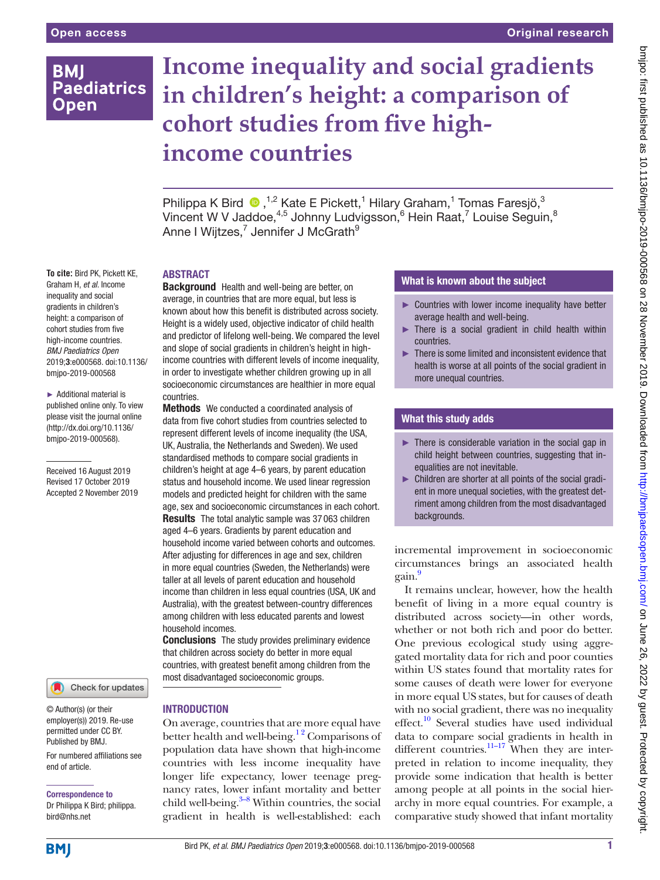# **BMI Paediatrics Open**

# **Income inequality and social gradients in children's height: a comparison of cohort studies from five highincome countries**

Philippa K Bird  $\bullet$ ,<sup>1,2</sup> Kate E Pickett,<sup>1</sup> Hilary Graham,<sup>1</sup> Tomas Faresjö,<sup>3</sup> Vincent W V Jaddoe, $4,5$  Johnny Ludvigsson,  $6$  Hein Raat,  $7$  Louise Seguin,  $8$ Anne I Wijtzes,<sup>7</sup> Jennifer J McGrath<sup>9</sup>

#### **To cite:** Bird PK, Pickett KE, Graham H, *et al*. Income inequality and social gradients in children's height: a comparison of cohort studies from five high-income countries.

*BMJ Paediatrics Open* 2019;3:e000568. doi:10.1136/ bmjpo-2019-000568 ► Additional material is

published online only. To view please visit the journal online (http://dx.doi.org/10.1136/ bmjpo-2019-000568).

Received 16 August 2019 Revised 17 October 2019 Accepted 2 November 2019

#### Check for updates

© Author(s) (or their employer(s)) 2019. Re-use permitted under CC BY. Published by BMJ.

For numbered affiliations see end of article.

Correspondence to Dr Philippa K Bird; philippa. bird@nhs.net

# **ABSTRACT**

Background Health and well-being are better, on average, in countries that are more equal, but less is known about how this benefit is distributed across society. Height is a widely used, objective indicator of child health and predictor of lifelong well-being. We compared the level and slope of social gradients in children's height in highincome countries with different levels of income inequality, in order to investigate whether children growing up in all socioeconomic circumstances are healthier in more equal countries.

Methods We conducted a coordinated analysis of data from five cohort studies from countries selected to represent different levels of income inequality (the USA, UK, Australia, the Netherlands and Sweden). We used standardised methods to compare social gradients in children's height at age 4–6 years, by parent education status and household income. We used linear regression models and predicted height for children with the same age, sex and socioeconomic circumstances in each cohort. Results The total analytic sample was 37 063 children aged 4–6 years. Gradients by parent education and household income varied between cohorts and outcomes. After adjusting for differences in age and sex, children in more equal countries (Sweden, the Netherlands) were taller at all levels of parent education and household income than children in less equal countries (USA, UK and Australia), with the greatest between-country differences among children with less educated parents and lowest household incomes.

**Conclusions** The study provides preliminary evidence that children across society do better in more equal countries, with greatest benefit among children from the most disadvantaged socioeconomic groups.

# **INTRODUCTION**

On average, countries that are more equal have better health and well-being.<sup>12</sup> Comparisons of population data have shown that high-income countries with less income inequality have longer life expectancy, lower teenage pregnancy rates, lower infant mortality and better child well-being. $3-8$  Within countries, the social gradient in health is well-established: each

# What is known about the subject

- ► Countries with lower income inequality have better average health and well-being.
- ► There is a social gradient in child health within countries.
- ► There is some limited and inconsistent evidence that health is worse at all points of the social gradient in more unequal countries.

# What this study adds

- ► There is considerable variation in the social gap in child height between countries, suggesting that inequalities are not inevitable.
- ► Children are shorter at all points of the social gradient in more unequal societies, with the greatest detriment among children from the most disadvantaged backgrounds.

incremental improvement in socioeconomic circumstances brings an associated health gain[.9](#page-6-2)

It remains unclear, however, how the health benefit of living in a more equal country is distributed across society—in other words, whether or not both rich and poor do better. One previous ecological study using aggregated mortality data for rich and poor counties within US states found that mortality rates for some causes of death were lower for everyone in more equal US states, but for causes of death with no social gradient, there was no inequality effect.<sup>10</sup> Several studies have used individual data to compare social gradients in health in different countries. $\frac{11-17}{11}$  When they are interpreted in relation to income inequality, they provide some indication that health is better among people at all points in the social hierarchy in more equal countries. For example, a comparative study showed that infant mortality

**BMJ**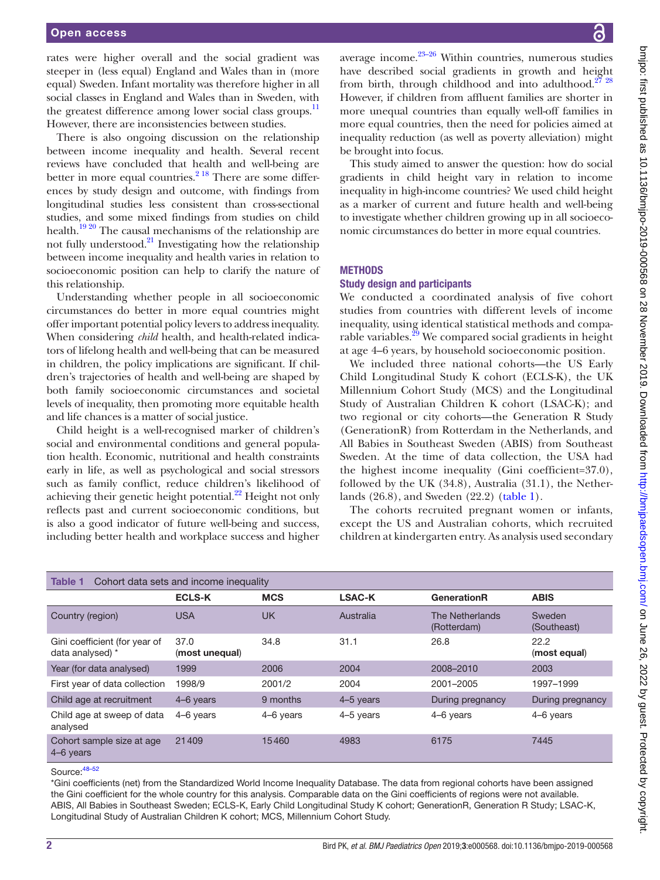rates were higher overall and the social gradient was steeper in (less equal) England and Wales than in (more equal) Sweden. Infant mortality was therefore higher in all social classes in England and Wales than in Sweden, with the greatest difference among lower social class groups.<sup>[11](#page-6-4)</sup> However, there are inconsistencies between studies.

There is also ongoing discussion on the relationship between income inequality and health. Several recent reviews have concluded that health and well-being are better in more equal countries. $2^{18}$  There are some differences by study design and outcome, with findings from longitudinal studies less consistent than cross-sectional studies, and some mixed findings from studies on child health[.19 20](#page-6-6) The causal mechanisms of the relationship are not fully understood. $^{21}$  Investigating how the relationship between income inequality and health varies in relation to socioeconomic position can help to clarify the nature of this relationship.

Understanding whether people in all socioeconomic circumstances do better in more equal countries might offer important potential policy levers to address inequality. When considering *child* health, and health-related indicators of lifelong health and well-being that can be measured in children, the policy implications are significant. If children's trajectories of health and well-being are shaped by both family socioeconomic circumstances and societal levels of inequality, then promoting more equitable health and life chances is a matter of social justice.

Child height is a well-recognised marker of children's social and environmental conditions and general population health. Economic, nutritional and health constraints early in life, as well as psychological and social stressors such as family conflict, reduce children's likelihood of achieving their genetic height potential. $^{22}$  $^{22}$  $^{22}$  Height not only reflects past and current socioeconomic conditions, but is also a good indicator of future well-being and success, including better health and workplace success and higher

average income. $23-26$  Within countries, numerous studies have described social gradients in growth and height from birth, through childhood and into adulthood. $2728$ However, if children from affluent families are shorter in more unequal countries than equally well-off families in more equal countries, then the need for policies aimed at inequality reduction (as well as poverty alleviation) might be brought into focus.

This study aimed to answer the question: how do social gradients in child height vary in relation to income inequality in high-income countries? We used child height as a marker of current and future health and well-being to investigate whether children growing up in all socioeconomic circumstances do better in more equal countries.

# **METHODS**

#### Study design and participants

We conducted a coordinated analysis of five cohort studies from countries with different levels of income inequality, using identical statistical methods and comparable variables.<sup>29</sup> We compared social gradients in height at age 4–6 years, by household socioeconomic position.

We included three national cohorts—the US Early Child Longitudinal Study K cohort (ECLS-K), the UK Millennium Cohort Study (MCS) and the Longitudinal Study of Australian Children K cohort (LSAC-K); and two regional or city cohorts—the Generation R Study (GenerationR) from Rotterdam in the Netherlands, and All Babies in Southeast Sweden (ABIS) from Southeast Sweden. At the time of data collection, the USA had the highest income inequality (Gini coefficient=37.0), followed by the UK (34.8), Australia (31.1), the Netherlands (26.8), and Sweden (22.2) ([table](#page-1-0) 1).

The cohorts recruited pregnant women or infants, except the US and Australian cohorts, which recruited children at kindergarten entry. As analysis used secondary

<span id="page-1-0"></span>

| Cohort data sets and income inequality<br>Table 1 |                        |            |               |                                |                       |
|---------------------------------------------------|------------------------|------------|---------------|--------------------------------|-----------------------|
|                                                   | <b>ECLS-K</b>          | <b>MCS</b> | <b>LSAC-K</b> | GenerationR                    | <b>ABIS</b>           |
| Country (region)                                  | <b>USA</b>             | <b>UK</b>  | Australia     | The Netherlands<br>(Rotterdam) | Sweden<br>(Southeast) |
| Gini coefficient (for year of<br>data analysed) * | 37.0<br>(most unequal) | 34.8       | 31.1          | 26.8                           | 22.2<br>(most equal)  |
| Year (for data analysed)                          | 1999                   | 2006       | 2004          | 2008-2010                      | 2003                  |
| First year of data collection                     | 1998/9                 | 2001/2     | 2004          | 2001-2005                      | 1997–1999             |
| Child age at recruitment                          | 4-6 years              | 9 months   | 4-5 years     | During pregnancy               | During pregnancy      |
| Child age at sweep of data<br>analysed            | 4-6 years              | 4-6 years  | 4-5 years     | 4-6 years                      | 4-6 years             |
| Cohort sample size at age<br>4-6 years            | 21409                  | 15460      | 4983          | 6175                           | 7445                  |

Source:[48–52](#page-7-0)

\*Gini coefficients (net) from the Standardized World Income Inequality Database. The data from regional cohorts have been assigned the Gini coefficient for the whole country for this analysis. Comparable data on the Gini coefficients of regions were not available. ABIS, All Babies in Southeast Sweden; ECLS-K, Early Child Longitudinal Study K cohort; GenerationR, Generation R Study; LSAC-K, Longitudinal Study of Australian Children K cohort; MCS, Millennium Cohort Study.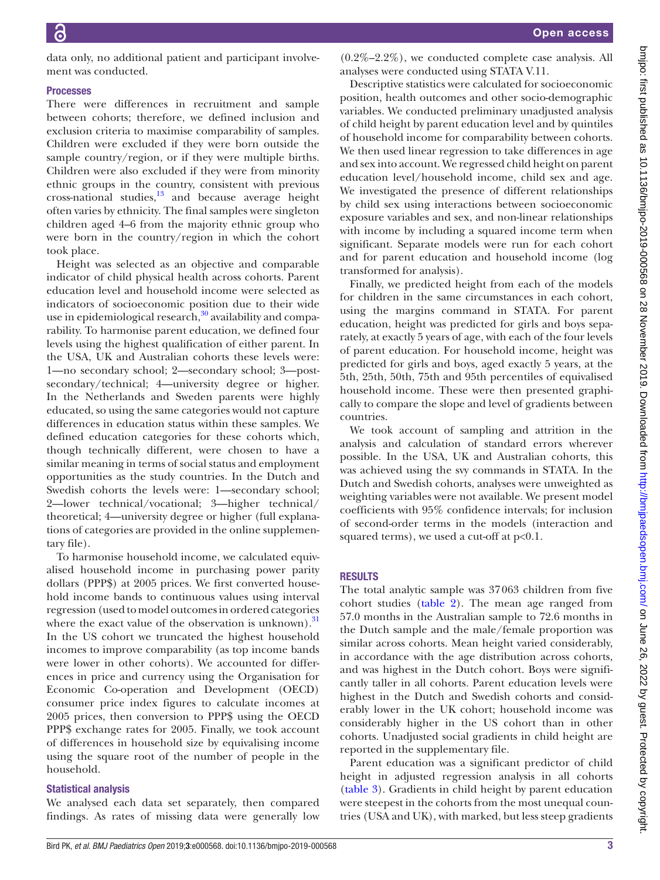data only, no additional patient and participant involvement was conducted.

# Processes

There were differences in recruitment and sample between cohorts; therefore, we defined inclusion and exclusion criteria to maximise comparability of samples. Children were excluded if they were born outside the sample country/region, or if they were multiple births. Children were also excluded if they were from minority ethnic groups in the country, consistent with previous cross-national studies, $13$  and because average height often varies by ethnicity. The final samples were singleton children aged 4–6 from the majority ethnic group who were born in the country/region in which the cohort took place.

Height was selected as an objective and comparable indicator of child physical health across cohorts. Parent education level and household income were selected as indicators of socioeconomic position due to their wide use in epidemiological research, $30$  availability and comparability. To harmonise parent education, we defined four levels using the highest qualification of either parent. In the USA, UK and Australian cohorts these levels were: 1—no secondary school; 2—secondary school; 3—postsecondary/technical; 4—university degree or higher. In the Netherlands and Sweden parents were highly educated, so using the same categories would not capture differences in education status within these samples. We defined education categories for these cohorts which, though technically different, were chosen to have a similar meaning in terms of social status and employment opportunities as the study countries. In the Dutch and Swedish cohorts the levels were: 1—secondary school; 2—lower technical/vocational; 3—higher technical/ theoretical; 4—university degree or higher (full explanations of categories are provided in the [online supplemen](https://dx.doi.org/10.1136/bmjpo-2019-000568)[tary file\)](https://dx.doi.org/10.1136/bmjpo-2019-000568).

To harmonise household income, we calculated equivalised household income in purchasing power parity dollars (PPP\$) at 2005 prices. We first converted household income bands to continuous values using interval regression (used to model outcomes in ordered categories where the exact value of the observation is unknown). $31$ In the US cohort we truncated the highest household incomes to improve comparability (as top income bands were lower in other cohorts). We accounted for differences in price and currency using the Organisation for Economic Co-operation and Development (OECD) consumer price index figures to calculate incomes at 2005 prices, then conversion to PPP\$ using the OECD PPP\$ exchange rates for 2005. Finally, we took account of differences in household size by equivalising income using the square root of the number of people in the household.

#### Statistical analysis

We analysed each data set separately, then compared findings. As rates of missing data were generally low

 $(0.2\% - 2.2\%)$ , we conducted complete case analysis. All analyses were conducted using STATA V.11.

Descriptive statistics were calculated for socioeconomic position, health outcomes and other socio-demographic variables. We conducted preliminary unadjusted analysis of child height by parent education level and by quintiles of household income for comparability between cohorts. We then used linear regression to take differences in age and sex into account. We regressed child height on parent education level/household income, child sex and age. We investigated the presence of different relationships by child sex using interactions between socioeconomic exposure variables and sex, and non-linear relationships with income by including a squared income term when significant. Separate models were run for each cohort and for parent education and household income (log transformed for analysis).

Finally, we predicted height from each of the models for children in the same circumstances in each cohort, using the margins command in STATA. For parent education, height was predicted for girls and boys separately, at exactly 5 years of age, with each of the four levels of parent education. For household income, height was predicted for girls and boys, aged exactly 5 years, at the 5th, 25th, 50th, 75th and 95th percentiles of equivalised household income. These were then presented graphically to compare the slope and level of gradients between countries.

We took account of sampling and attrition in the analysis and calculation of standard errors wherever possible. In the USA, UK and Australian cohorts, this was achieved using the svy commands in STATA. In the Dutch and Swedish cohorts, analyses were unweighted as weighting variables were not available. We present model coefficients with 95% confidence intervals; for inclusion of second-order terms in the models (interaction and squared terms), we used a cut-off at p<0.1.

# **RESULTS**

The total analytic sample was 37063 children from five cohort studies [\(table](#page-3-0) 2). The mean age ranged from 57.0 months in the Australian sample to 72.6 months in the Dutch sample and the male/female proportion was similar across cohorts. Mean height varied considerably, in accordance with the age distribution across cohorts, and was highest in the Dutch cohort. Boys were significantly taller in all cohorts. Parent education levels were highest in the Dutch and Swedish cohorts and considerably lower in the UK cohort; household income was considerably higher in the US cohort than in other cohorts. Unadjusted social gradients in child height are reported in the supplementary file.

Parent education was a significant predictor of child height in adjusted regression analysis in all cohorts [\(table](#page-3-1) 3). Gradients in child height by parent education were steepest in the cohorts from the most unequal countries (USA and UK), with marked, but less steep gradients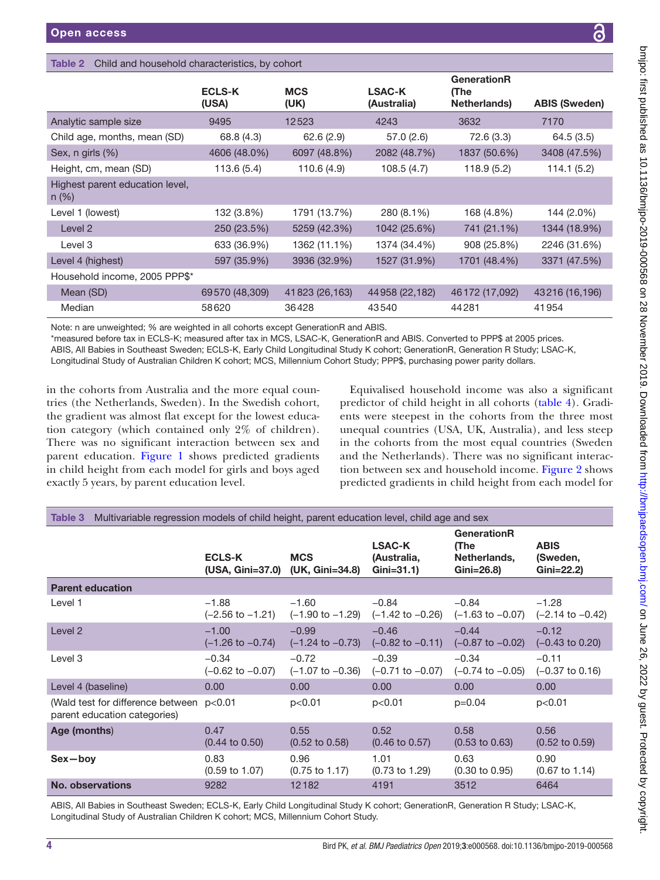# <span id="page-3-0"></span>Table 2 Child and household characteristics, by cohort

|                                          | <b>ECLS-K</b>  | <b>MCS</b>      | <b>LSAC-K</b>   | GenerationR<br>(The |                      |
|------------------------------------------|----------------|-----------------|-----------------|---------------------|----------------------|
|                                          | (USA)          | (UK)            | (Australia)     | Netherlands)        | <b>ABIS (Sweden)</b> |
| Analytic sample size                     | 9495           | 12523           | 4243            | 3632                | 7170                 |
| Child age, months, mean (SD)             | 68.8 (4.3)     | 62.6(2.9)       | 57.0(2.6)       | 72.6 (3.3)          | 64.5(3.5)            |
| Sex, $n$ girls $(\%)$                    | 4606 (48.0%)   | 6097 (48.8%)    | 2082 (48.7%)    | 1837 (50.6%)        | 3408 (47.5%)         |
| Height, cm, mean (SD)                    | 113.6(5.4)     | 110.6 (4.9)     | 108.5(4.7)      | 118.9(5.2)          | 114.1 (5.2)          |
| Highest parent education level,<br>n (%) |                |                 |                 |                     |                      |
| Level 1 (lowest)                         | 132 (3.8%)     | 1791 (13.7%)    | 280 (8.1%)      | 168 (4.8%)          | 144 (2.0%)           |
| Level 2                                  | 250 (23.5%)    | 5259 (42.3%)    | 1042 (25.6%)    | 741 (21.1%)         | 1344 (18.9%)         |
| Level 3                                  | 633 (36.9%)    | 1362 (11.1%)    | 1374 (34.4%)    | 908 (25.8%)         | 2246 (31.6%)         |
| Level 4 (highest)                        | 597 (35.9%)    | 3936 (32.9%)    | 1527 (31.9%)    | 1701 (48.4%)        | 3371 (47.5%)         |
| Household income, 2005 PPP\$*            |                |                 |                 |                     |                      |
| Mean (SD)                                | 69570 (48,309) | 41 823 (26,163) | 44 958 (22,182) | 46 172 (17,092)     | 43216 (16,196)       |
| Median                                   | 58620          | 36428           | 43540           | 44281               | 41954                |

Note: n are unweighted; % are weighted in all cohorts except GenerationR and ABIS.

\*measured before tax in ECLS-K; measured after tax in MCS, LSAC-K, GenerationR and ABIS. Converted to PPP\$ at 2005 prices. ABIS, All Babies in Southeast Sweden; ECLS-K, Early Child Longitudinal Study K cohort; GenerationR, Generation R Study; LSAC-K, Longitudinal Study of Australian Children K cohort; MCS, Millennium Cohort Study; PPP\$, purchasing power parity dollars.

in the cohorts from Australia and the more equal countries (the Netherlands, Sweden). In the Swedish cohort, the gradient was almost flat except for the lowest education category (which contained only 2% of children). There was no significant interaction between sex and parent education. [Figure](#page-4-0) 1 shows predicted gradients in child height from each model for girls and boys aged exactly 5 years, by parent education level.

Equivalised household income was also a significant predictor of child height in all cohorts ([table](#page-4-1) 4). Gradients were steepest in the cohorts from the three most unequal countries (USA, UK, Australia), and less steep in the cohorts from the most equal countries (Sweden and the Netherlands). There was no significant interaction between sex and household income. [Figure](#page-4-2) 2 shows predicted gradients in child height from each model for

<span id="page-3-1"></span>

| Multivariable regression models of child height, parent education level, child age and sex<br>Table 3 |                                        |                                        |                                               |                                                           |                                          |
|-------------------------------------------------------------------------------------------------------|----------------------------------------|----------------------------------------|-----------------------------------------------|-----------------------------------------------------------|------------------------------------------|
|                                                                                                       | <b>ECLS-K</b><br>(USA, Gini=37.0)      | <b>MCS</b><br>(UK, Gini=34.8)          | <b>LSAC-K</b><br>(Australia,<br>$Gini = 31.1$ | <b>GenerationR</b><br>(The<br>Netherlands,<br>$Gini=26.8$ | <b>ABIS</b><br>(Sweden,<br>$Gini = 22.2$ |
| <b>Parent education</b>                                                                               |                                        |                                        |                                               |                                                           |                                          |
| Level 1                                                                                               | $-1.88$<br>$(-2.56 \text{ to } -1.21)$ | $-1.60$<br>$(-1.90 \text{ to } -1.29)$ | $-0.84$<br>(-1.42 to -0.26)                   | $-0.84$<br>$(-1.63 \text{ to } -0.07)$                    | $-1.28$<br>$(-2.14 \text{ to } -0.42)$   |
| Level 2                                                                                               | $-1.00$<br>$(-1.26 \text{ to } -0.74)$ | $-0.99$<br>$(-1.24 \text{ to } -0.73)$ | $-0.46$<br>$(-0.82 \text{ to } -0.11)$        | $-0.44$<br>$(-0.87 \text{ to } -0.02)$                    | $-0.12$<br>$(-0.43 \text{ to } 0.20)$    |
| Level 3                                                                                               | $-0.34$<br>$(-0.62 \text{ to } -0.07)$ | $-0.72$<br>$(-1.07 \text{ to } -0.36)$ | $-0.39$<br>$(-0.71$ to $-0.07)$               | $-0.34$<br>$(-0.74 \text{ to } -0.05)$                    | $-0.11$<br>$(-0.37 \text{ to } 0.16)$    |
| Level 4 (baseline)                                                                                    | 0.00                                   | 0.00                                   | 0.00                                          | 0.00                                                      | 0.00                                     |
| (Wald test for difference between<br>parent education categories)                                     | p<0.01                                 | p<0.01                                 | p<0.01                                        | $p=0.04$                                                  | p<0.01                                   |
| Age (months)                                                                                          | 0.47<br>$(0.44 \text{ to } 0.50)$      | 0.55<br>$(0.52 \text{ to } 0.58)$      | 0.52<br>$(0.46 \text{ to } 0.57)$             | 0.58<br>$(0.53 \text{ to } 0.63)$                         | 0.56<br>$(0.52 \text{ to } 0.59)$        |
| $Sex - bov$                                                                                           | 0.83<br>$(0.59 \text{ to } 1.07)$      | 0.96<br>$(0.75 \text{ to } 1.17)$      | 1.01<br>$(0.73 \text{ to } 1.29)$             | 0.63<br>$(0.30 \text{ to } 0.95)$                         | 0.90<br>$(0.67 \text{ to } 1.14)$        |
| <b>No. observations</b>                                                                               | 9282                                   | 12182                                  | 4191                                          | 3512                                                      | 6464                                     |

ABIS, All Babies in Southeast Sweden; ECLS-K, Early Child Longitudinal Study K cohort; GenerationR, Generation R Study; LSAC-K, Longitudinal Study of Australian Children K cohort; MCS, Millennium Cohort Study.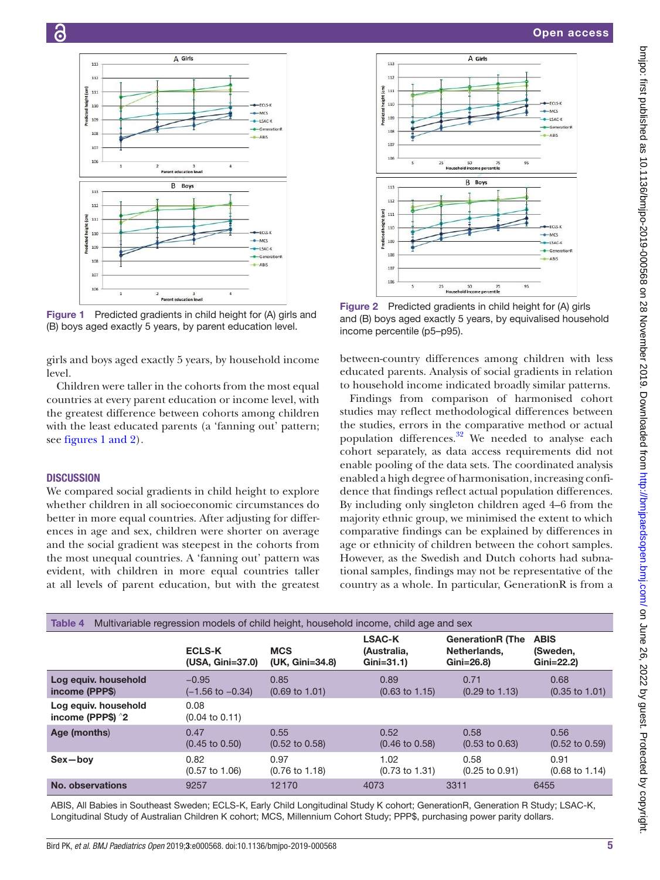

Children were taller in the cohorts from the most equal countries at every parent education or income level, with the greatest difference between cohorts among children with the least educated parents (a 'fanning out' pattern; see figures [1 and 2\)](#page-4-0).

# **DISCUSSION**

level.

ි

 $112$ 

112

 $110$ 

 $100$ 

 $10<sup>6</sup>$ 

 $10$  $10<sup>4</sup>$ 

113

 $112$ 

 $111$ 

 $107$ 

<span id="page-4-0"></span> $106$ 

 $\widehat{\mathsf{E}}$  $\frac{1}{111}$ 

 $\frac{1}{2}$ 

 $\overline{1}$ 

 $\overline{E}$  $111$ 

heigh

redicte

We compared social gradients in child height to explore whether children in all socioeconomic circumstances do better in more equal countries. After adjusting for differences in age and sex, children were shorter on average and the social gradient was steepest in the cohorts from the most unequal countries. A 'fanning out' pattern was evident, with children in more equal countries taller at all levels of parent education, but with the greatest



<span id="page-4-2"></span>Figure 2 Predicted gradients in child height for (A) girls and (B) boys aged exactly 5 years, by equivalised household income percentile (p5–p95).

between-country differences among children with less educated parents. Analysis of social gradients in relation to household income indicated broadly similar patterns.

Findings from comparison of harmonised cohort studies may reflect methodological differences between the studies, errors in the comparative method or actual population differences. $32$  We needed to analyse each cohort separately, as data access requirements did not enable pooling of the data sets. The coordinated analysis enabled a high degree of harmonisation, increasing confidence that findings reflect actual population differences. By including only singleton children aged 4–6 from the majority ethnic group, we minimised the extent to which comparative findings can be explained by differences in age or ethnicity of children between the cohort samples. However, as the Swedish and Dutch cohorts had subnational samples, findings may not be representative of the country as a whole. In particular, GenerationR is from a

<span id="page-4-1"></span>

| Multivariable regression models of child height, household income, child age and sex<br><b>Table 4</b> |                                        |                                   |                                               |                                                        |                                        |
|--------------------------------------------------------------------------------------------------------|----------------------------------------|-----------------------------------|-----------------------------------------------|--------------------------------------------------------|----------------------------------------|
|                                                                                                        | <b>ECLS-K</b><br>(USA, Gini=37.0)      | <b>MCS</b><br>(UK, Gini=34.8)     | <b>LSAC-K</b><br>(Australia.<br>$Gini = 31.1$ | <b>GenerationR (The</b><br>Netherlands.<br>$Gini=26.8$ | <b>ABIS</b><br>(Sweden,<br>$Gini=22.2$ |
| Log equiv. household<br>income (PPP\$)                                                                 | $-0.95$<br>$(-1.56 \text{ to } -0.34)$ | 0.85<br>$(0.69 \text{ to } 1.01)$ | 0.89<br>$(0.63 \text{ to } 1.15)$             | 0.71<br>$(0.29 \text{ to } 1.13)$                      | 0.68<br>$(0.35 \text{ to } 1.01)$      |
| Log equiv. household<br>income (PPP\$) ^2                                                              | 0.08<br>$(0.04 \text{ to } 0.11)$      |                                   |                                               |                                                        |                                        |
| Age (months)                                                                                           | 0.47<br>$(0.45 \text{ to } 0.50)$      | 0.55<br>$(0.52 \text{ to } 0.58)$ | 0.52<br>$(0.46 \text{ to } 0.58)$             | 0.58<br>$(0.53 \text{ to } 0.63)$                      | 0.56<br>$(0.52 \text{ to } 0.59)$      |
| Sex-boy                                                                                                | 0.82<br>$(0.57 \text{ to } 1.06)$      | 0.97<br>$(0.76 \text{ to } 1.18)$ | 1.02<br>$(0.73 \text{ to } 1.31)$             | 0.58<br>$(0.25 \text{ to } 0.91)$                      | 0.91<br>$(0.68 \text{ to } 1.14)$      |
| No. observations                                                                                       | 9257                                   | 12170                             | 4073                                          | 3311                                                   | 6455                                   |

ABIS, All Babies in Southeast Sweden; ECLS-K, Early Child Longitudinal Study K cohort; GenerationR, Generation R Study; LSAC-K, Longitudinal Study of Australian Children K cohort; MCS, Millennium Cohort Study; PPP\$, purchasing power parity dollars.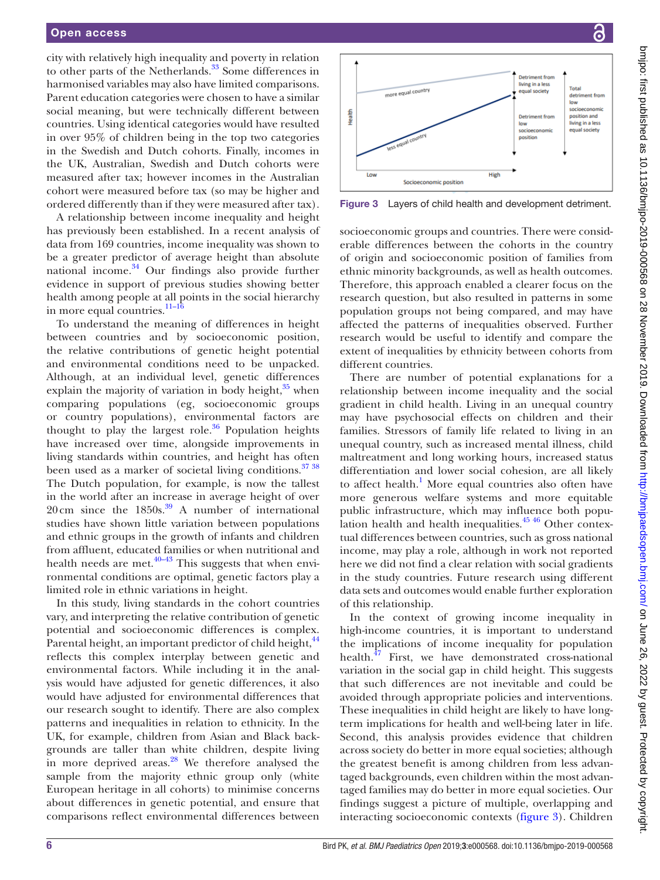city with relatively high inequality and poverty in relation to other parts of the Netherlands.<sup>33</sup> Some differences in harmonised variables may also have limited comparisons. Parent education categories were chosen to have a similar social meaning, but were technically different between countries. Using identical categories would have resulted in over 95% of children being in the top two categories in the Swedish and Dutch cohorts. Finally, incomes in the UK, Australian, Swedish and Dutch cohorts were measured after tax; however incomes in the Australian cohort were measured before tax (so may be higher and ordered differently than if they were measured after tax).

A relationship between income inequality and height has previously been established. In a recent analysis of data from 169 countries, income inequality was shown to be a greater predictor of average height than absolute national income. $34$  Our findings also provide further evidence in support of previous studies showing better health among people at all points in the social hierarchy in more equal countries.<sup>11-16</sup>

To understand the meaning of differences in height between countries and by socioeconomic position, the relative contributions of genetic height potential and environmental conditions need to be unpacked. Although, at an individual level, genetic differences explain the majority of variation in body height, $35$  when comparing populations (eg, socioeconomic groups or country populations), environmental factors are thought to play the largest role. $36$  Population heights have increased over time, alongside improvements in living standards within countries, and height has often been used as a marker of societal living conditions.<sup>37</sup> <sup>38</sup> The Dutch population, for example, is now the tallest in the world after an increase in average height of over  $20 \text{ cm}$  since the  $1850 \text{s}^{39}$  A number of international studies have shown little variation between populations and ethnic groups in the growth of infants and children from affluent, educated families or when nutritional and health needs are met. $40-43$  This suggests that when environmental conditions are optimal, genetic factors play a limited role in ethnic variations in height.

In this study, living standards in the cohort countries vary, and interpreting the relative contribution of genetic potential and socioeconomic differences is complex. Parental height, an important predictor of child height, <sup>44</sup> reflects this complex interplay between genetic and environmental factors. While including it in the analysis would have adjusted for genetic differences, it also would have adjusted for environmental differences that our research sought to identify. There are also complex patterns and inequalities in relation to ethnicity. In the UK, for example, children from Asian and Black backgrounds are taller than white children, despite living in more deprived areas.<sup>28</sup> We therefore analysed the sample from the majority ethnic group only (white European heritage in all cohorts) to minimise concerns about differences in genetic potential, and ensure that comparisons reflect environmental differences between



<span id="page-5-0"></span>Figure 3 Layers of child health and development detriment.

socioeconomic groups and countries. There were considerable differences between the cohorts in the country of origin and socioeconomic position of families from ethnic minority backgrounds, as well as health outcomes. Therefore, this approach enabled a clearer focus on the research question, but also resulted in patterns in some population groups not being compared, and may have affected the patterns of inequalities observed. Further research would be useful to identify and compare the extent of inequalities by ethnicity between cohorts from different countries.

There are number of potential explanations for a relationship between income inequality and the social gradient in child health. Living in an unequal country may have psychosocial effects on children and their families. Stressors of family life related to living in an unequal country, such as increased mental illness, child maltreatment and long working hours, increased status differentiation and lower social cohesion, are all likely to affect health.<sup>1</sup> More equal countries also often have more generous welfare systems and more equitable public infrastructure, which may influence both population health and health inequalities. $45\frac{46}{10}$  Other contextual differences between countries, such as gross national income, may play a role, although in work not reported here we did not find a clear relation with social gradients in the study countries. Future research using different data sets and outcomes would enable further exploration of this relationship.

In the context of growing income inequality in high-income countries, it is important to understand the implications of income inequality for population health. $47$  First, we have demonstrated cross-national variation in the social gap in child height. This suggests that such differences are not inevitable and could be avoided through appropriate policies and interventions. These inequalities in child height are likely to have longterm implications for health and well-being later in life. Second, this analysis provides evidence that children across society do better in more equal societies; although the greatest benefit is among children from less advantaged backgrounds, even children within the most advantaged families may do better in more equal societies. Our findings suggest a picture of multiple, overlapping and interacting socioeconomic contexts ([figure](#page-5-0) 3). Children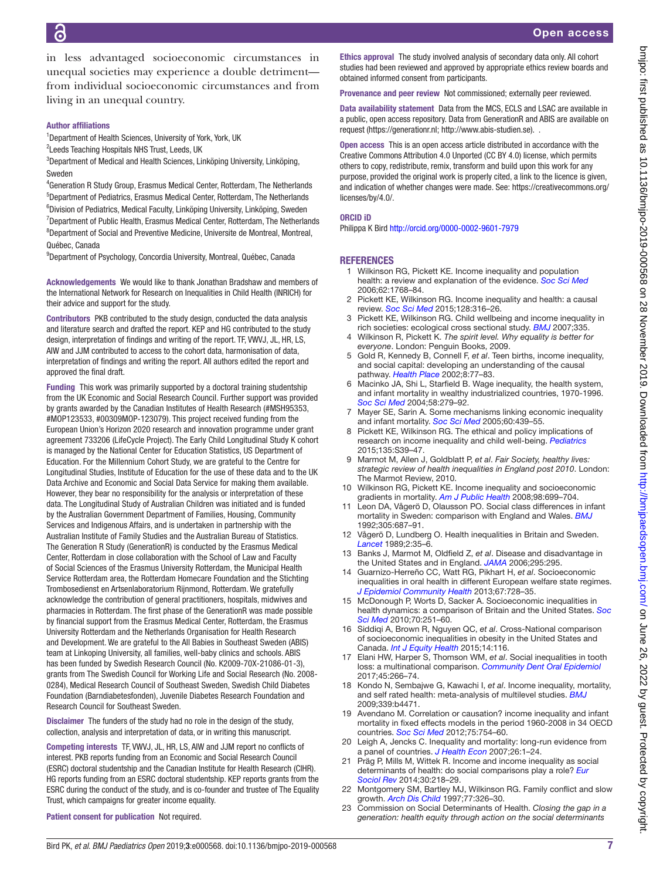bmipo: first published as 10.11186/bmipo-2019-000568 on 28 November 2019. Downloaded from http://bmipaedsopen.bmj.com/ on June 26, 2022 by guest. Protected by copyright on June 26, 2022 by guest. Protected by copyright. <http://bmjpaedsopen.bmj.com/> bmjpo: first published as 10.1136/bmjpo-2019-000568 on 28 November 2019. Downloaded from

<span id="page-6-0"></span>1 Wilkinson RG, Pickett KE. Income inequality and population health: a review and explanation of the evidence. *[Soc Sci Med](http://dx.doi.org/10.1016/j.socscimed.2005.08.036)*

Ethics approval The study involved analysis of secondary data only. All cohort studies had been reviewed and approved by appropriate ethics review boards and

Provenance and peer review Not commissioned; externally peer reviewed. Data availability statement Data from the MCS, ECLS and LSAC are available in a public, open access repository. Data from GenerationR and ABIS are available on

Open access This is an open access article distributed in accordance with the Creative Commons Attribution 4.0 Unported (CC BY 4.0) license, which permits others to copy, redistribute, remix, transform and build upon this work for any purpose, provided the original work is properly cited, a link to the licence is given, and indication of whether changes were made. See: [https://creativecommons.org/](https://creativecommons.org/licenses/by/4.0/)

request ([https://generationr.nl;](https://generationr.nl/) [http://www.abis-studien.se\)](http://www.abis-studien.se/). .

Philippa K Bird <http://orcid.org/0000-0002-9601-7979>

- <span id="page-6-5"></span>2 Pickett KE, Wilkinson RG. Income inequality and health: a causal review. *[Soc Sci Med](http://dx.doi.org/10.1016/j.socscimed.2014.12.031)* 2015;128:316–26.
- 3 Pickett KE, Wilkinson RG. Child wellbeing and income inequality in
- 4 Wilkinson R, Pickett K. *The spirit level. Why equality is better for everyone*. London: Penguin Books, 2009.
- and social capital: developing an understanding of the causal
- 6 Macinko JA, Shi L, Starfield B. Wage inequality, the health system, and infant mortality in wealthy industrialized countries, 1970-1996. *[Soc Sci Med](http://dx.doi.org/10.1016/S0277-9536(03)00200-4)* 2004;58:279–92.
- 7 Mayer SE, Sarin A. Some mechanisms linking economic inequality and infant mortality. *[Soc Sci Med](http://dx.doi.org/10.1016/j.socscimed.2004.06.005)* 2005;60:439–55.
- 8 Pickett KE, Wilkinson RG. The ethical and policy implications of research on income inequality and child well-being. *[Pediatrics](http://dx.doi.org/10.1542/peds.2014-3549E)* 2015;135:S39–47.
- <span id="page-6-2"></span>9 Marmot M, Allen J, Goldblatt P, *et al*. *Fair Society, healthy lives: strategic review of health inequalities in England post 2010*. London: The Marmot Review, 2010.
- <span id="page-6-3"></span>10 Wilkinson RG, Pickett KE. Income inequality and socioeconomic gradients in mortality. *[Am J Public Health](http://dx.doi.org/10.2105/AJPH.2007.109637)* 2008;98:699–704.
- <span id="page-6-4"></span>11 Leon DA, Vågerö D, Olausson PO. Social class differences in infant mortality in Sweden: comparison with England and Wales. *[BMJ](http://dx.doi.org/10.1136/bmj.305.6855.687)* 1992;305:687–91.
- 12 Vågerö D, Lundberg O. Health inequalities in Britain and Sweden. *[Lancet](http://dx.doi.org/10.1016/S0140-6736(89)90266-3)* 1989;2:35–6.
- <span id="page-6-10"></span>13 Banks J, Marmot M, Oldfield Z, *et al*. Disease and disadvantage in the United States and in England. *[JAMA](http://dx.doi.org/10.1001/jama.295.17.2037)* 2006;295:295.
- 14 Guarnizo-Herreño CC, Watt RG, Pikhart H, *et al*. Socioeconomic inequalities in oral health in different European welfare state regimes. *[J Epidemiol Community Health](http://dx.doi.org/10.1136/jech-2013-202714)* 2013;67:728–35.
- 15 McDonough P, Worts D, Sacker A. Socioeconomic inequalities in health dynamics: a comparison of Britain and the United States. *[Soc](http://dx.doi.org/10.1016/j.socscimed.2009.10.001)  [Sci Med](http://dx.doi.org/10.1016/j.socscimed.2009.10.001)* 2010;70:251–60.
- 16 Siddiqi A, Brown R, Nguyen QC, *et al*. Cross-National comparison of socioeconomic inequalities in obesity in the United States and Canada. *[Int J Equity Health](http://dx.doi.org/10.1186/s12939-015-0251-2)* 2015;14:116.
- 17 Elani HW, Harper S, Thomson WM, *et al*. Social inequalities in tooth loss: a multinational comparison. *[Community Dent Oral Epidemiol](http://dx.doi.org/10.1111/cdoe.12285)* 2017;45:266–74.
- 18 Kondo N, Sembajwe G, Kawachi I, *et al*. Income inequality, mortality, and self rated health: meta-analysis of multilevel studies. *[BMJ](http://dx.doi.org/10.1136/bmj.b4471)* 2009;339:b4471.
- <span id="page-6-6"></span>19 Avendano M. Correlation or causation? income inequality and infant mortality in fixed effects models in the period 1960-2008 in 34 OECD countries. *[Soc Sci Med](http://dx.doi.org/10.1016/j.socscimed.2012.04.017)* 2012;75:754–60.
- 20 Leigh A, Jencks C. Inequality and mortality: long-run evidence from a panel of countries. *[J Health Econ](http://dx.doi.org/10.1016/j.jhealeco.2006.07.003)* 2007;26:1–24.
- <span id="page-6-7"></span>21 Präg P, Mills M, Wittek R. Income and income inequality as social determinants of health: do social comparisons play a role? *[Eur](http://dx.doi.org/10.1093/esr/jct035)  [Sociol Rev](http://dx.doi.org/10.1093/esr/jct035)* 2014;30:218–29.
- <span id="page-6-8"></span>22 Montgomery SM, Bartley MJ, Wilkinson RG. Family conflict and slow growth. *[Arch Dis Child](http://dx.doi.org/10.1136/adc.77.4.326)* 1997;77:326–30.
- <span id="page-6-9"></span>23 Commission on Social Determinants of Health. *Closing the gap in a generation: health equity through action on the social determinants*

in less advantaged socioeconomic circumstances in unequal societies may experience a double detriment from individual socioeconomic circumstances and from living in an unequal country.

#### Author affiliations

<sup>1</sup>Department of Health Sciences, University of York, York, UK

<sup>2</sup> Leeds Teaching Hospitals NHS Trust, Leeds, UK

3 Department of Medical and Health Sciences, Linköping University, Linköping, Sweden

4 Generation R Study Group, Erasmus Medical Center, Rotterdam, The Netherlands 5 Department of Pediatrics, Erasmus Medical Center, Rotterdam, The Netherlands <sup>6</sup>Division of Pediatrics, Medical Faculty, Linköping University, Linköping, Sweden <sup>7</sup>Department of Public Health, Erasmus Medical Center, Rotterdam, The Netherlands <sup>8</sup>Department of Social and Preventive Medicine, Universite de Montreal, Montreal, Québec, Canada

9 Department of Psychology, Concordia University, Montreal, Québec, Canada

Acknowledgements We would like to thank Jonathan Bradshaw and members of the International Network for Research on Inequalities in Child Health (INRICH) for their advice and support for the study.

Contributors PKB contributed to the study design, conducted the data analysis and literature search and drafted the report. KEP and HG contributed to the study design, interpretation of findings and writing of the report. TF, VWVJ, JL, HR, LS, AIW and JJM contributed to access to the cohort data, harmonisation of data, interpretation of findings and writing the report. All authors edited the report and approved the final draft.

Funding This work was primarily supported by a doctoral training studentship from the UK Economic and Social Research Council. Further support was provided by grants awarded by the Canadian Institutes of Health Research (#MSH95353, #MOP123533, #00309MOP-123079). This project received funding from the European Union's Horizon 2020 research and innovation programme under grant agreement 733206 (LifeCycle Project). The Early Child Longitudinal Study K cohort is managed by the National Center for Education Statistics, US Department of Education. For the Millennium Cohort Study, we are grateful to the Centre for Longitudinal Studies, Institute of Education for the use of these data and to the UK Data Archive and Economic and Social Data Service for making them available. However, they bear no responsibility for the analysis or interpretation of these data. The Longitudinal Study of Australian Children was initiated and is funded by the Australian Government Department of Families, Housing, Community Services and Indigenous Affairs, and is undertaken in partnership with the Australian Institute of Family Studies and the Australian Bureau of Statistics. The Generation R Study (GenerationR) is conducted by the Erasmus Medical Center, Rotterdam in close collaboration with the School of Law and Faculty of Social Sciences of the Erasmus University Rotterdam, the Municipal Health Service Rotterdam area, the Rotterdam Homecare Foundation and the Stichting Trombosedienst en Artsenlaboratorium Rijnmond, Rotterdam. We gratefully acknowledge the contribution of general practitioners, hospitals, midwives and pharmacies in Rotterdam. The first phase of the GenerationR was made possible by financial support from the Erasmus Medical Center, Rotterdam, the Erasmus University Rotterdam and the Netherlands Organisation for Health Research and Development. We are grateful to the All Babies in Southeast Sweden (ABIS) team at Linkoping University, all families, well-baby clinics and schools. ABIS has been funded by Swedish Research Council (No. K2009-70X-21086-01-3), grants from The Swedish Council for Working Life and Social Research (No. 2008- 0284), Medical Research Council of Southeast Sweden, Swedish Child Diabetes Foundation (Barndiabetesfonden), Juvenile Diabetes Research Foundation and Research Council for Southeast Sweden.

Disclaimer The funders of the study had no role in the design of the study, collection, analysis and interpretation of data, or in writing this manuscript.

Competing interests TF, VWVJ, JL, HR, LS, AIW and JJM report no conflicts of interest. PKB reports funding from an Economic and Social Research Council (ESRC) doctoral studentship and the Canadian Institute for Health Research (CIHR). HG reports funding from an ESRC doctoral studentship. KEP reports grants from the ESRC during the conduct of the study, and is co-founder and trustee of The Equality Trust, which campaigns for greater income equality.

Patient consent for publication Not required.

**REFERENCES** 2006;62:1768–84.

[licenses/by/4.0/](https://creativecommons.org/licenses/by/4.0/).

ORCID iD

obtained informed consent from participants.

- <span id="page-6-1"></span>rich societies: ecological cross sectional study. *[BMJ](http://dx.doi.org/10.1136/bmj.39377.580162.55)* 2007;335.
- 
- 5 Gold R, Kennedy B, Connell F, *et al*. Teen births, income inequality, pathway. *[Health Place](http://dx.doi.org/10.1016/S1353-8292(01)00027-2)* 2002;8:77–83.